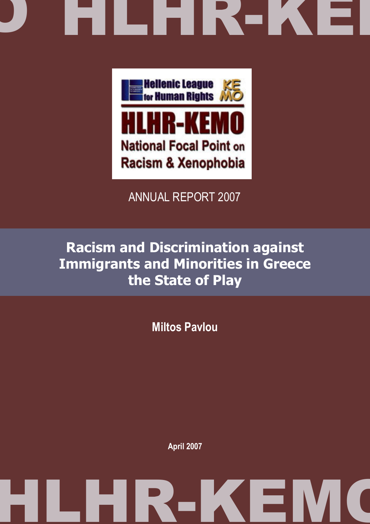# D HLHK-KE





### ANNUAL REPORT 2007

## Racism and Discrimination against Immigrants and Minorities in Greece the State of Play

Miltos Pavlou

April 2007

## HLHR-KEMO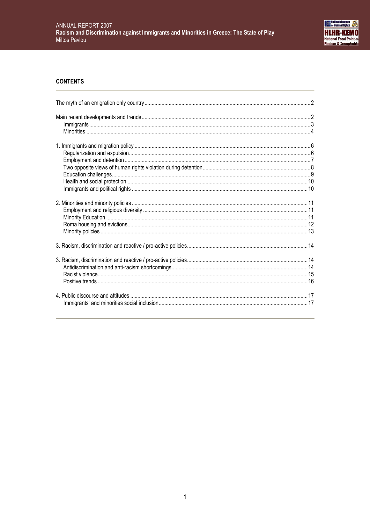

#### **CONTENTS**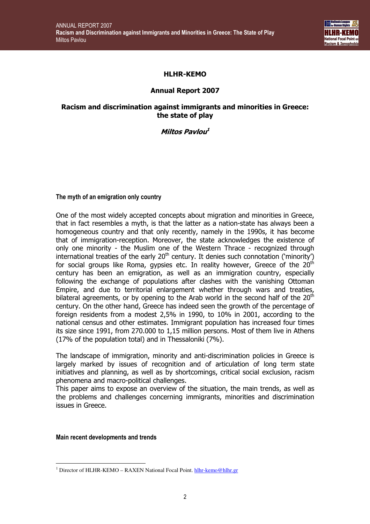

#### HLHR-KEMO

#### Annual Report 2007

#### Racism and discrimination against immigrants and minorities in Greece: the state of play

Miltos Pavlou 1

#### The myth of an emigration only country

One of the most widely accepted concepts about migration and minorities in Greece, that in fact resembles a myth, is that the latter as a nation-state has always been a homogeneous country and that only recently, namely in the 1990s, it has become that of immigration-reception. Moreover, the state acknowledges the existence of only one minority - the Muslim one of the Western Thrace - recognized through international treaties of the early  $20<sup>th</sup>$  century. It denies such connotation ('minority') for social groups like Roma, gypsies etc. In reality however, Greece of the  $20<sup>th</sup>$ century has been an emigration, as well as an immigration country, especially following the exchange of populations after clashes with the vanishing Ottoman Empire, and due to territorial enlargement whether through wars and treaties, bilateral agreements, or by opening to the Arab world in the second half of the  $20<sup>th</sup>$ century. On the other hand, Greece has indeed seen the growth of the percentage of foreign residents from a modest 2,5% in 1990, to 10% in 2001, according to the national census and other estimates. Immigrant population has increased four times its size since 1991, from 270.000 to 1,15 million persons. Most of them live in Athens (17% of the population total) and in Thessaloniki (7%).

The landscape of immigration, minority and anti-discrimination policies in Greece is largely marked by issues of recognition and of articulation of long term state initiatives and planning, as well as by shortcomings, critical social exclusion, racism phenomena and macro-political challenges.

This paper aims to expose an overview of the situation, the main trends, as well as the problems and challenges concerning immigrants, minorities and discrimination issues in Greece.

Main recent developments and trends

 $\overline{a}$ <sup>1</sup> Director of HLHR-KEMO – RAXEN National Focal Point. hlhr-kemo@hlhr.gr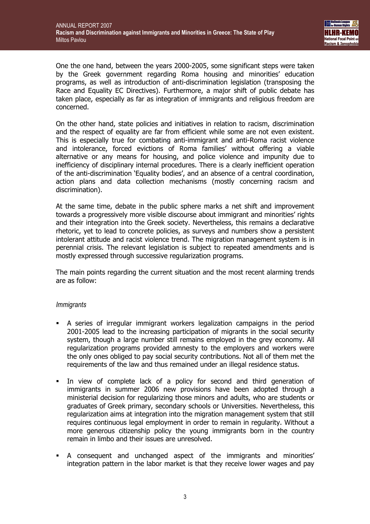One the one hand, between the years 2000-2005, some significant steps were taken by the Greek government regarding Roma housing and minorities' education programs, as well as introduction of anti-discrimination legislation (transposing the Race and Equality EC Directives). Furthermore, a major shift of public debate has taken place, especially as far as integration of immigrants and religious freedom are concerned.

On the other hand, state policies and initiatives in relation to racism, discrimination and the respect of equality are far from efficient while some are not even existent. This is especially true for combating anti-immigrant and anti-Roma racist violence and intolerance, forced evictions of Roma families' without offering a viable alternative or any means for housing, and police violence and impunity due to inefficiency of disciplinary internal procedures. There is a clearly inefficient operation of the anti-discrimination 'Equality bodies', and an absence of a central coordination, action plans and data collection mechanisms (mostly concerning racism and discrimination).

At the same time, debate in the public sphere marks a net shift and improvement towards a progressively more visible discourse about immigrant and minorities' rights and their integration into the Greek society. Nevertheless, this remains a declarative rhetoric, yet to lead to concrete policies, as surveys and numbers show a persistent intolerant attitude and racist violence trend. The migration management system is in perennial crisis. The relevant legislation is subject to repeated amendments and is mostly expressed through successive regularization programs.

The main points regarding the current situation and the most recent alarming trends are as follow:

#### **Immigrants**

- A series of irregular immigrant workers legalization campaigns in the period 2001-2005 lead to the increasing participation of migrants in the social security system, though a large number still remains employed in the grey economy. All regularization programs provided amnesty to the employers and workers were the only ones obliged to pay social security contributions. Not all of them met the requirements of the law and thus remained under an illegal residence status.
- In view of complete lack of a policy for second and third generation of immigrants in summer 2006 new provisions have been adopted through a ministerial decision for regularizing those minors and adults, who are students or graduates of Greek primary, secondary schools or Universities. Nevertheless, this regularization aims at integration into the migration management system that still requires continuous legal employment in order to remain in regularity. Without a more generous citizenship policy the young immigrants born in the country remain in limbo and their issues are unresolved.
- A consequent and unchanged aspect of the immigrants and minorities' integration pattern in the labor market is that they receive lower wages and pay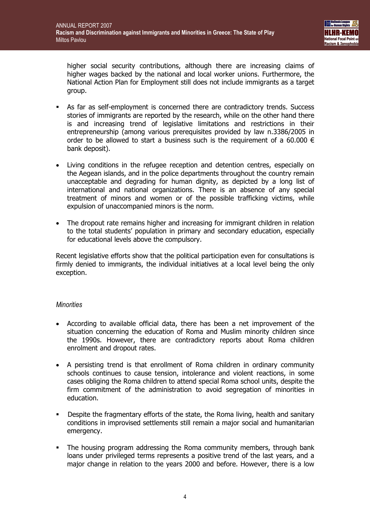higher social security contributions, although there are increasing claims of higher wages backed by the national and local worker unions. Furthermore, the National Action Plan for Employment still does not include immigrants as a target group.

- As far as self-employment is concerned there are contradictory trends. Success stories of immigrants are reported by the research, while on the other hand there is and increasing trend of legislative limitations and restrictions in their entrepreneurship (among various prerequisites provided by law n.3386/2005 in order to be allowed to start a business such is the requirement of a 60.000  $\epsilon$ bank deposit).
- Living conditions in the refugee reception and detention centres, especially on the Aegean islands, and in the police departments throughout the country remain unacceptable and degrading for human dignity, as depicted by a long list of international and national organizations. There is an absence of any special treatment of minors and women or of the possible trafficking victims, while expulsion of unaccompanied minors is the norm.
- The dropout rate remains higher and increasing for immigrant children in relation to the total students' population in primary and secondary education, especially for educational levels above the compulsory.

Recent legislative efforts show that the political participation even for consultations is firmly denied to immigrants, the individual initiatives at a local level being the only exception.

#### **Minorities**

- According to available official data, there has been a net improvement of the situation concerning the education of Roma and Muslim minority children since the 1990s. However, there are contradictory reports about Roma children enrolment and dropout rates.
- A persisting trend is that enrollment of Roma children in ordinary community schools continues to cause tension, intolerance and violent reactions, in some cases obliging the Roma children to attend special Roma school units, despite the firm commitment of the administration to avoid segregation of minorities in education.
- Despite the fragmentary efforts of the state, the Roma living, health and sanitary conditions in improvised settlements still remain a major social and humanitarian emergency.
- The housing program addressing the Roma community members, through bank loans under privileged terms represents a positive trend of the last years, and a major change in relation to the years 2000 and before. However, there is a low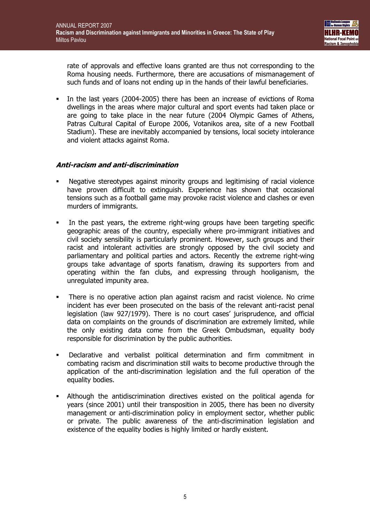rate of approvals and effective loans granted are thus not corresponding to the Roma housing needs. Furthermore, there are accusations of mismanagement of such funds and of loans not ending up in the hands of their lawful beneficiaries.

In the last years (2004-2005) there has been an increase of evictions of Roma dwellings in the areas where major cultural and sport events had taken place or are going to take place in the near future (2004 Olympic Games of Athens, Patras Cultural Capital of Europe 2006, Votanikos area, site of a new Football Stadium). These are inevitably accompanied by tensions, local society intolerance and violent attacks against Roma.

#### Anti-racism and anti-discrimination

- Negative stereotypes against minority groups and legitimising of racial violence have proven difficult to extinguish. Experience has shown that occasional tensions such as a football game may provoke racist violence and clashes or even murders of immigrants.
- In the past years, the extreme right-wing groups have been targeting specific geographic areas of the country, especially where pro-immigrant initiatives and civil society sensibility is particularly prominent. However, such groups and their racist and intolerant activities are strongly opposed by the civil society and parliamentary and political parties and actors. Recently the extreme right-wing groups take advantage of sports fanatism, drawing its supporters from and operating within the fan clubs, and expressing through hooliganism, the unregulated impunity area.
- There is no operative action plan against racism and racist violence. No crime incident has ever been prosecuted on the basis of the relevant anti-racist penal legislation (law 927/1979). There is no court cases' jurisprudence, and official data on complaints on the grounds of discrimination are extremely limited, while the only existing data come from the Greek Ombudsman, equality body responsible for discrimination by the public authorities.
- Declarative and verbalist political determination and firm commitment in combating racism and discrimination still waits to become productive through the application of the anti-discrimination legislation and the full operation of the equality bodies.
- Although the antidiscrimination directives existed on the political agenda for years (since 2001) until their transposition in 2005, there has been no diversity management or anti-discrimination policy in employment sector, whether public or private. The public awareness of the anti-discrimination legislation and existence of the equality bodies is highly limited or hardly existent.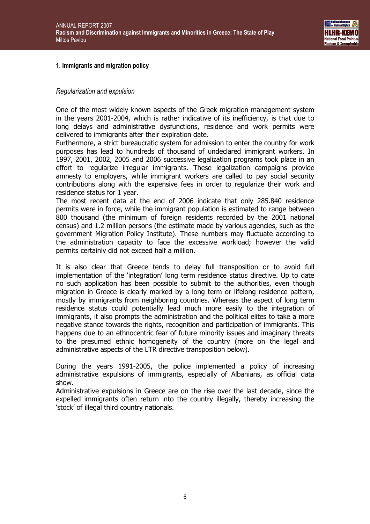

#### 1. Immigrants and migration policy

#### Regularization and expulsion

One of the most widely known aspects of the Greek migration management system in the years 2001-2004, which is rather indicative of its inefficiency, is that due to long delays and administrative dysfunctions, residence and work permits were delivered to immigrants after their expiration date.

Furthermore, a strict bureaucratic system for admission to enter the country for work purposes has lead to hundreds of thousand of undeclared immigrant workers. In 1997, 2001, 2002, 2005 and 2006 successive legalization programs took place in an effort to regularize irregular immigrants. These legalization campaigns provide amnesty to employers, while immigrant workers are called to pay social security contributions along with the expensive fees in order to regularize their work and residence status for 1 year.

The most recent data at the end of 2006 indicate that only 285.840 residence permits were in force, while the immigrant population is estimated to range between 800 thousand (the minimum of foreign residents recorded by the 2001 national census) and 1.2 million persons (the estimate made by various agencies, such as the government Migration Policy Institute). These numbers may fluctuate according to the administration capacity to face the excessive workload; however the valid permits certainly did not exceed half a million.

It is also clear that Greece tends to delay full transposition or to avoid full implementation of the 'integration' long term residence status directive. Up to date no such application has been possible to submit to the authorities, even though migration in Greece is clearly marked by a long term or lifelong residence pattern, mostly by immigrants from neighboring countries. Whereas the aspect of long term residence status could potentially lead much more easily to the integration of immigrants, it also prompts the administration and the political elites to take a more negative stance towards the rights, recognition and participation of immigrants. This happens due to an ethnocentric fear of future minority issues and imaginary threats to the presumed ethnic homogeneity of the country (more on the legal and administrative aspects of the LTR directive transposition below).

During the years 1991-2005, the police implemented a policy of increasing administrative expulsions of immigrants, especially of Albanians, as official data show.

Administrative expulsions in Greece are on the rise over the last decade, since the expelled immigrants often return into the country illegally, thereby increasing the 'stock' of illegal third country nationals.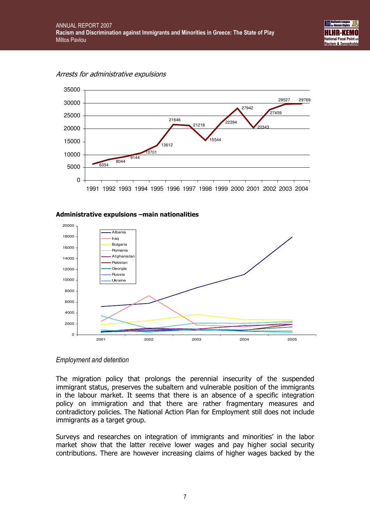



#### Administrative expulsions –main nationalities



#### Employment and detention

The migration policy that prolongs the perennial insecurity of the suspended immigrant status, preserves the subaltern and vulnerable position of the immigrants in the labour market. It seems that there is an absence of a specific integration policy on immigration and that there are rather fragmentary measures and contradictory policies. The National Action Plan for Employment still does not include immigrants as a target group.

Surveys and researches on integration of immigrants and minorities' in the labor market show that the latter receive lower wages and pay higher social security contributions. There are however increasing claims of higher wages backed by the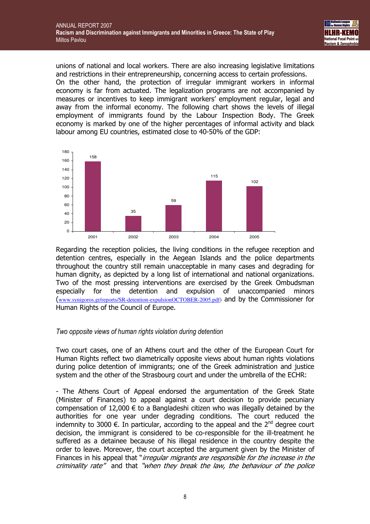

unions of national and local workers. There are also increasing legislative limitations and restrictions in their entrepreneurship, concerning access to certain professions. On the other hand, the protection of irregular immigrant workers in informal economy is far from actuated. The legalization programs are not accompanied by measures or incentives to keep immigrant workers' employment regular, legal and away from the informal economy. The following chart shows the levels of illegal employment of immigrants found by the Labour Inspection Body. The Greek economy is marked by one of the higher percentages of informal activity and black labour among EU countries, estimated close to 40-50% of the GDP:



Regarding the reception policies, the living conditions in the refugee reception and detention centres, especially in the Aegean Islands and the police departments throughout the country still remain unacceptable in many cases and degrading for human dignity, as depicted by a long list of international and national organizations. Two of the most pressing interventions are exercised by the Greek Ombudsman especially for the detention and expulsion of unaccompanied minors (www.synigoros.gr/reports/SR-detention-expulsionOCTOBER-2005.pdf) and by the Commissioner for Human Rights of the Council of Europe.

#### Two opposite views of human rights violation during detention

Two court cases, one of an Athens court and the other of the European Court for Human Rights reflect two diametrically opposite views about human rights violations during police detention of immigrants; one of the Greek administration and justice system and the other of the Strasbourg court and under the umbrella of the ECHR:

- The Athens Court of Appeal endorsed the argumentation of the Greek State (Minister of Finances) to appeal against a court decision to provide pecuniary compensation of 12,000  $\epsilon$  to a Bangladeshi citizen who was illegally detained by the authorities for one year under degrading conditions. The court reduced the indemnity to 3000  $\epsilon$ . In particular, according to the appeal and the 2<sup>nd</sup> degree court decision, the immigrant is considered to be co-responsible for the ill-treatment he suffered as a detainee because of his illegal residence in the country despite the order to leave. Moreover, the court accepted the argument given by the Minister of Finances in his appeal that "*irregular migrants are responsible for the increase in the* criminality rate" and that "when they break the law, the behaviour of the police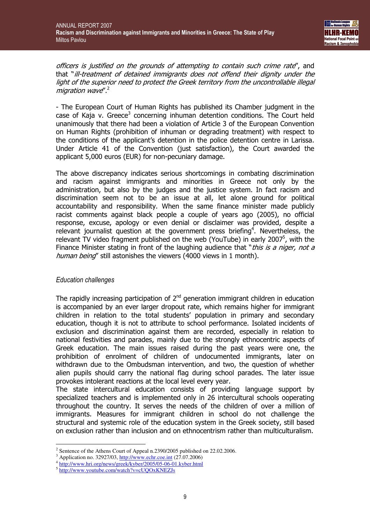officers is justified on the grounds of attempting to contain such crime rate", and that "ill-treatment of detained immigrants does not offend their dignity under the light of the superior need to protect the Greek territory from the uncontrollable illegal migration wave".<sup>2</sup>

- The European Court of Human Rights has published its Chamber judgment in the case of Kaja v. Greece<sup>3</sup> concerning inhuman detention conditions. The Court held unanimously that there had been a violation of Article 3 of the European Convention on Human Rights (prohibition of inhuman or degrading treatment) with respect to the conditions of the applicant's detention in the police detention centre in Larissa. Under Article 41 of the Convention (just satisfaction), the Court awarded the applicant 5,000 euros (EUR) for non-pecuniary damage.

The above discrepancy indicates serious shortcomings in combating discrimination and racism against immigrants and minorities in Greece not only by the administration, but also by the judges and the justice system. In fact racism and discrimination seem not to be an issue at all, let alone ground for political accountability and responsibility. When the same finance minister made publicly racist comments against black people a couple of years ago (2005), no official response, excuse, apology or even denial or disclaimer was provided, despite a relevant journalist question at the government press briefing<sup>4</sup>. Nevertheless, the relevant TV video fragment published on the web (YouTube) in early 2007<sup>5</sup>, with the Finance Minister stating in front of the laughing audience that "*this is a niger, not a* human being" still astonishes the viewers (4000 views in 1 month).

#### Education challenges

The rapidly increasing participation of  $2<sup>nd</sup>$  generation immigrant children in education is accompanied by an ever larger dropout rate, which remains higher for immigrant children in relation to the total students' population in primary and secondary education, though it is not to attribute to school performance. Isolated incidents of exclusion and discrimination against them are recorded, especially in relation to national festivities and parades, mainly due to the strongly ethnocentric aspects of Greek education. The main issues raised during the past years were one, the prohibition of enrolment of children of undocumented immigrants, later on withdrawn due to the Ombudsman intervention, and two, the question of whether alien pupils should carry the national flag during school parades. The later issue provokes intolerant reactions at the local level every year.

The state intercultural education consists of providing language support by specialized teachers and is implemented only in 26 intercultural schools ooperating throughout the country. It serves the needs of the children of over a million of immigrants. Measures for immigrant children in school do not challenge the structural and systemic role of the education system in the Greek society, still based on exclusion rather than inclusion and on ethnocentrism rather than multiculturalism.

 2 Sentence of the Athens Court of Appeal n.2390/2005 published on 22.02.2006.

<sup>&</sup>lt;sup>3</sup> Application no. 32927/03, http://www.echr.coe.int (27.07.2006)

<sup>&</sup>lt;sup>4</sup> http://www.hri.org/news/greek/kyber/2005/05-06-01.kyber.html

<sup>&</sup>lt;sup>5</sup> http://www.youtube.com/watch?v=cUQOxKNEZJs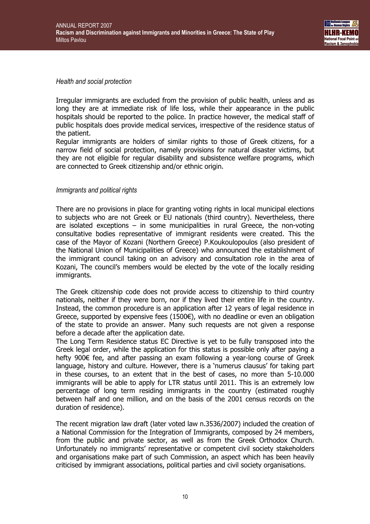

Health and social protection

Irregular immigrants are excluded from the provision of public health, unless and as long they are at immediate risk of life loss, while their appearance in the public hospitals should be reported to the police. In practice however, the medical staff of public hospitals does provide medical services, irrespective of the residence status of the patient.

Regular immigrants are holders of similar rights to those of Greek citizens, for a narrow field of social protection, namely provisions for natural disaster victims, but they are not eligible for regular disability and subsistence welfare programs, which are connected to Greek citizenship and/or ethnic origin.

#### Immigrants and political rights

There are no provisions in place for granting voting rights in local municipal elections to subjects who are not Greek or EU nationals (third country). Nevertheless, there are isolated exceptions – in some municipalities in rural Greece, the non-voting consultative bodies representative of immigrant residents were created. This the case of the Mayor of Kozani (Northern Greece) P.Koukoulopoulos (also president of the National Union of Municipalities of Greece) who announced the establishment of the immigrant council taking on an advisory and consultation role in the area of Kozani, The council's members would be elected by the vote of the locally residing immigrants.

The Greek citizenship code does not provide access to citizenship to third country nationals, neither if they were born, nor if they lived their entire life in the country. Instead, the common procedure is an application after 12 years of legal residence in Greece, supported by expensive fees (1500 $\varepsilon$ ), with no deadline or even an obligation of the state to provide an answer. Many such requests are not given a response before a decade after the application date.

The Long Term Residence status EC Directive is yet to be fully transposed into the Greek legal order, while the application for this status is possible only after paying a hefty 900€ fee, and after passing an exam following a year-long course of Greek language, history and culture. However, there is a 'numerus clausus' for taking part in these courses, to an extent that in the best of cases, no more than 5-10.000 immigrants will be able to apply for LTR status until 2011. This is an extremely low percentage of long term residing immigrants in the country (estimated roughly between half and one million, and on the basis of the 2001 census records on the duration of residence).

The recent migration law draft (later voted law n.3536/2007) included the creation of a National Commission for the Integration of Immigrants, composed by 24 members, from the public and private sector, as well as from the Greek Orthodox Church. Unfortunately no immigrants' representative or competent civil society stakeholders and organisations make part of such Commission, an aspect which has been heavily criticised by immigrant associations, political parties and civil society organisations.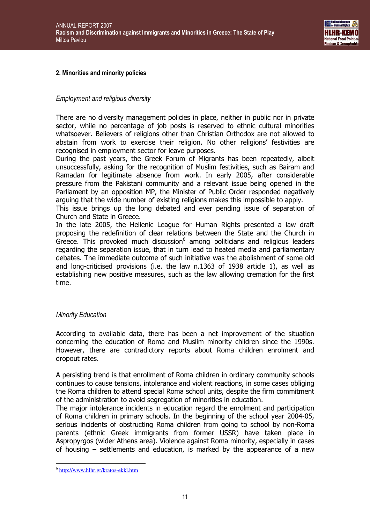

#### 2. Minorities and minority policies

#### Employment and religious diversity

There are no diversity management policies in place, neither in public nor in private sector, while no percentage of job posts is reserved to ethnic cultural minorities whatsoever. Believers of religions other than Christian Orthodox are not allowed to abstain from work to exercise their religion. No other religions' festivities are recognised in employment sector for leave purposes.

During the past years, the Greek Forum of Migrants has been repeatedly, albeit unsuccessfully, asking for the recognition of Muslim festivities, such as Bairam and Ramadan for legitimate absence from work. In early 2005, after considerable pressure from the Pakistani community and a relevant issue being opened in the Parliament by an opposition MP, the Minister of Public Order responded negatively arguing that the wide number of existing religions makes this impossible to apply.

This issue brings up the long debated and ever pending issue of separation of Church and State in Greece.

In the late 2005, the Hellenic League for Human Rights presented a law draft proposing the redefinition of clear relations between the State and the Church in Greece. This provoked much discussion<sup>6</sup> among politicians and religious leaders regarding the separation issue, that in turn lead to heated media and parliamentary debates. The immediate outcome of such initiative was the abolishment of some old and long-criticised provisions (i.e. the law n.1363 of 1938 article 1), as well as establishing new positive measures, such as the law allowing cremation for the first time.

#### Minority Education

According to available data, there has been a net improvement of the situation concerning the education of Roma and Muslim minority children since the 1990s. However, there are contradictory reports about Roma children enrolment and dropout rates.

A persisting trend is that enrollment of Roma children in ordinary community schools continues to cause tensions, intolerance and violent reactions, in some cases obliging the Roma children to attend special Roma school units, despite the firm commitment of the administration to avoid segregation of minorities in education.

The major intolerance incidents in education regard the enrolment and participation of Roma children in primary schools. In the beginning of the school year 2004-05, serious incidents of obstructing Roma children from going to school by non-Roma parents (ethnic Greek immigrants from former USSR) have taken place in Aspropyrgos (wider Athens area). Violence against Roma minority, especially in cases of housing – settlements and education, is marked by the appearance of a new

 $\overline{a}$ <sup>6</sup> http://www.hlhr.gr/kratos-ekkl.htm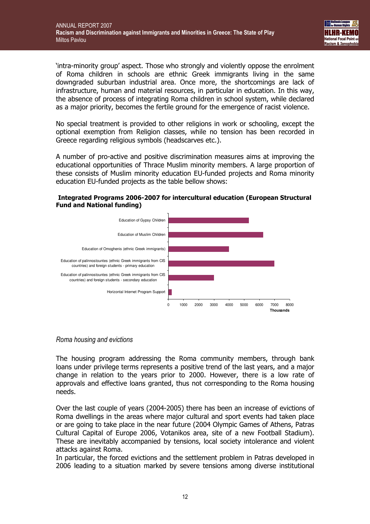

'intra-minority group' aspect. Those who strongly and violently oppose the enrolment of Roma children in schools are ethnic Greek immigrants living in the same downgraded suburban industrial area. Once more, the shortcomings are lack of infrastructure, human and material resources, in particular in education. In this way, the absence of process of integrating Roma children in school system, while declared as a major priority, becomes the fertile ground for the emergence of racist violence.

No special treatment is provided to other religions in work or schooling, except the optional exemption from Religion classes, while no tension has been recorded in Greece regarding religious symbols (headscarves etc.).

A number of pro-active and positive discrimination measures aims at improving the educational opportunities of Thrace Muslim minority members. A large proportion of these consists of Muslim minority education EU-funded projects and Roma minority education EU-funded projects as the table bellow shows:

#### Integrated Programs 2006-2007 for intercultural education (European Structural Fund and National funding)



#### Roma housing and evictions

The housing program addressing the Roma community members, through bank loans under privilege terms represents a positive trend of the last years, and a major change in relation to the years prior to 2000. However, there is a low rate of approvals and effective loans granted, thus not corresponding to the Roma housing needs.

Over the last couple of years (2004-2005) there has been an increase of evictions of Roma dwellings in the areas where major cultural and sport events had taken place or are going to take place in the near future (2004 Olympic Games of Athens, Patras Cultural Capital of Europe 2006, Votanikos area, site of a new Football Stadium). These are inevitably accompanied by tensions, local society intolerance and violent attacks against Roma.

In particular, the forced evictions and the settlement problem in Patras developed in 2006 leading to a situation marked by severe tensions among diverse institutional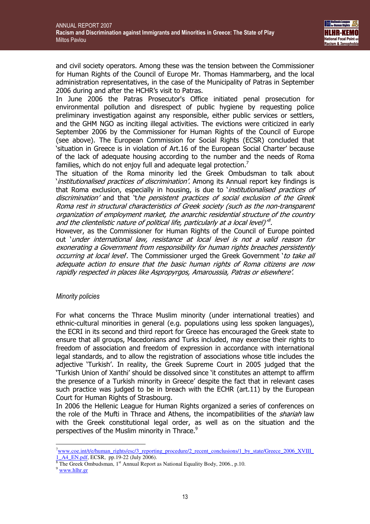

and civil society operators. Among these was the tension between the Commissioner for Human Rights of the Council of Europe Mr. Thomas Hammarberg, and the local administration representatives, in the case of the Municipality of Patras in September 2006 during and after the HCHR's visit to Patras.

In June 2006 the Patras Prosecutor's Office initiated penal prosecution for environmental pollution and disrespect of public hygiene by requesting police preliminary investigation against any responsible, either public services or settlers, and the GHM NGO as inciting illegal activities. The evictions were criticized in early September 2006 by the Commissioner for Human Rights of the Council of Europe (see above). The European Commission for Social Rights (ECSR) concluded that 'situation in Greece is in violation of Art.16 of the European Social Charter' because of the lack of adequate housing according to the number and the needs of Roma families, which do not enjoy full and adequate legal protection.<sup>7</sup>

The situation of the Roma minority led the Greek Ombudsman to talk about 'institutionalised practices of discrimination'. Among its Annual report key findings is that Roma exclusion, especially in housing, is due to *'institutionalised practices of* discrimination' and that 'the persistent practices of social exclusion of the Greek Roma rest in structural characteristics of Greek society (such as the non-transparent organization of employment market, the anarchic residential structure of the country and the clientelistic nature of political life, particularly at a local level)' $^8$ .

However, as the Commissioner for Human Rights of the Council of Europe pointed out 'under international law, resistance at local level is not a valid reason for exonerating a Government from responsibility for human rights breaches persistently occurring at local level. The Commissioner urged the Greek Government 'to take all adequate action to ensure that the basic human rights of Roma citizens are now rapidly respected in places like Aspropyrgos, Amaroussia, Patras or elsewhere'.

#### Minority policies

For what concerns the Thrace Muslim minority (under international treaties) and ethnic-cultural minorities in general (e.g. populations using less spoken languages), the ECRI in its second and third report for Greece has encouraged the Greek state to ensure that all groups, Macedonians and Turks included, may exercise their rights to freedom of association and freedom of expression in accordance with international legal standards, and to allow the registration of associations whose title includes the adjective 'Turkish'. In reality, the Greek Supreme Court in 2005 judged that the 'Turkish Union of Xanthi' should be dissolved since 'it constitutes an attempt to affirm the presence of a Turkish minority in Greece' despite the fact that in relevant cases such practice was judged to be in breach with the ECHR (art.11) by the European Court for Human Rights of Strasbourg.

In 2006 the Hellenic League for Human Rights organized a series of conferences on the role of the Mufti in Thrace and Athens, the incompatibilities of the *shariah* law with the Greek constitutional legal order, as well as on the situation and the perspectives of the Muslim minority in Thrace.<sup>9</sup>

 $\overline{a}$ 

<sup>&</sup>lt;sup>7</sup>www.coe.int/t/e/human\_rights/esc/3\_reporting\_procedure/2\_recent\_conclusions/1\_by\_state/Greece\_2006\_XVIII 1\_A4\_EN.pdf, ECSR, pp.19-22 (July 2006).

 $8$  The Greek Ombudsman, 1st Annual Report as National Equality Body, 2006., p.10.

<sup>9</sup> www.hlhr.gr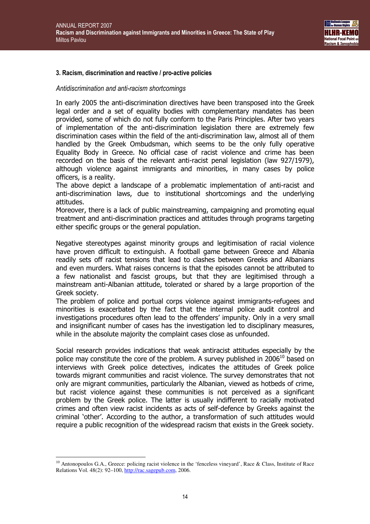

#### 3. Racism, discrimination and reactive / pro-active policies

#### Antidiscrimination and anti-racism shortcomings

In early 2005 the anti-discrimination directives have been transposed into the Greek legal order and a set of equality bodies with complementary mandates has been provided, some of which do not fully conform to the Paris Principles. After two years of implementation of the anti-discrimination legislation there are extremely few discrimination cases within the field of the anti-discrimination law, almost all of them handled by the Greek Ombudsman, which seems to be the only fully operative Equality Body in Greece. No official case of racist violence and crime has been recorded on the basis of the relevant anti-racist penal legislation (law 927/1979), although violence against immigrants and minorities, in many cases by police officers, is a reality.

The above depict a landscape of a problematic implementation of anti-racist and anti-discrimination laws, due to institutional shortcomings and the underlying attitudes.

Moreover, there is a lack of public mainstreaming, campaigning and promoting equal treatment and anti-discrimination practices and attitudes through programs targeting either specific groups or the general population.

Negative stereotypes against minority groups and legitimisation of racial violence have proven difficult to extinguish. A football game between Greece and Albania readily sets off racist tensions that lead to clashes between Greeks and Albanians and even murders. What raises concerns is that the episodes cannot be attributed to a few nationalist and fascist groups, but that they are legitimised through a mainstream anti-Albanian attitude, tolerated or shared by a large proportion of the Greek society.

The problem of police and portual corps violence against immigrants-refugees and minorities is exacerbated by the fact that the internal police audit control and investigations procedures often lead to the offenders' impunity. Only in a very small and insignificant number of cases has the investigation led to disciplinary measures, while in the absolute majority the complaint cases close as unfounded.

Social research provides indications that weak antiracist attitudes especially by the police may constitute the core of the problem. A survey published in  $2006^{10}$  based on interviews with Greek police detectives, indicates the attitudes of Greek police towards migrant communities and racist violence. The survey demonstrates that not only are migrant communities, particularly the Albanian, viewed as hotbeds of crime, but racist violence against these communities is not perceived as a significant problem by the Greek police. The latter is usually indifferent to racially motivated crimes and often view racist incidents as acts of self-defence by Greeks against the criminal 'other'. According to the author, a transformation of such attitudes would require a public recognition of the widespread racism that exists in the Greek society.

 $\overline{a}$ 

<sup>&</sup>lt;sup>10</sup> Antonopoulos G.A., Greece: policing racist violence in the 'fenceless vineyard', Race & Class, Institute of Race Relations Vol. 48(2): 92–100, http://rac.sagepub.com, 2006.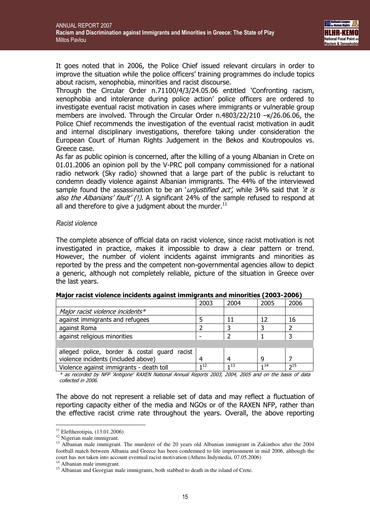It goes noted that in 2006, the Police Chief issued relevant circulars in order to improve the situation while the police officers' training programmes do include topics about racism, xenophobia, minorities and racist discourse.

Through the Circular Order n.71100/4/3/24.05.06 entitled 'Confronting racism, xenophobia and intolerance during police action' police officers are ordered to investigate eventual racist motivation in cases where immigrants or vulnerable group members are involved. Through the Circular Order n.4803/22/210 –κ/26.06.06, the Police Chief recommends the investigation of the eventual racist motivation in audit and internal disciplinary investigations, therefore taking under consideration the European Court of Human Rights Judgement in the Bekos and Koutropoulos vs. Greece case.

As far as public opinion is concerned, after the killing of a young Albanian in Crete on 01.01.2006 an opinion poll by the V-PRC poll company commissioned for a national radio network (Sky radio) showned that a large part of the public is reluctant to condemn deadly violence against Albanian immigrants. The 44% of the interviewed sample found the assassination to be an '*unjustified act'*, while 34% said that '*it is* also the Albanians' fault' (!). A significant 24% of the sample refused to respond at all and therefore to give a judgment about the murder. $^{11}$ 

#### Racist violence

The complete absence of official data on racist violence, since racist motivation is not investigated in practice, makes it impossible to draw a clear pattern or trend. However, the number of violent incidents against immigrants and minorities as reported by the press and the competent non-governmental agencies allow to depict a generic, although not completely reliable, picture of the situation in Greece over the last years.

| 2003                                         | 2004 | 2005 | 2006     |
|----------------------------------------------|------|------|----------|
|                                              |      |      |          |
|                                              |      | 12   | 16       |
|                                              |      |      |          |
|                                              |      |      |          |
|                                              |      |      |          |
|                                              |      |      |          |
|                                              |      | q    |          |
| 112                                          | 113  | 114  | $2^{15}$ |
| alleged police, border & costal guard racist |      |      |          |

#### Major racist violence incidents against immigrants and minorities (2003-2006)

\* as recorded by NFP 'Antigone' RAXEN National Annual Reports 2003, 2004, 2005 and on the basis of data collected in 2006.

The above do not represent a reliable set of data and may reflect a fluctuation of reporting capacity either of the media and NGOs or of the RAXEN NFP, rather than the effective racist crime rate throughout the years. Overall, the above reporting

 $\overline{a}$ 

<sup>14</sup> Albanian male immigrant.

 $11$  Eleftherotipia,  $(13.01.2006)$ 

<sup>&</sup>lt;sup>12</sup> Nigerian male immigrant.

<sup>&</sup>lt;sup>13</sup> Albanian male immigrant. The murderer of the 20 years old Albanian immigrant in Zakinthos after the 2004 football match between Albania and Greece has been condemned to life imprisonment in mid 2006, although the court has not taken into account eventual racist motivation (Athens Indymedia, 07.05.2006)

<sup>&</sup>lt;sup>15</sup> Albanian and Georgian male immigrants, both stabbed to death in the island of Crete.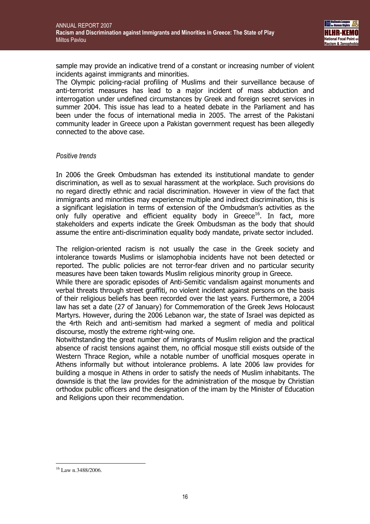

sample may provide an indicative trend of a constant or increasing number of violent incidents against immigrants and minorities.

The Olympic policing-racial profiling of Muslims and their surveillance because of anti-terrorist measures has lead to a major incident of mass abduction and interrogation under undefined circumstances by Greek and foreign secret services in summer 2004. This issue has lead to a heated debate in the Parliament and has been under the focus of international media in 2005. The arrest of the Pakistani community leader in Greece upon a Pakistan government request has been allegedly connected to the above case.

#### Positive trends

In 2006 the Greek Ombudsman has extended its institutional mandate to gender discrimination, as well as to sexual harassment at the workplace. Such provisions do no regard directly ethnic and racial discrimination. However in view of the fact that immigrants and minorities may experience multiple and indirect discrimination, this is a significant legislation in terms of extension of the Ombudsman's activities as the only fully operative and efficient equality body in Greece<sup>16</sup>. In fact, more stakeholders and experts indicate the Greek Ombudsman as the body that should assume the entire anti-discrimination equality body mandate, private sector included.

The religion-oriented racism is not usually the case in the Greek society and intolerance towards Muslims or islamophobia incidents have not been detected or reported. The public policies are not terror-fear driven and no particular security measures have been taken towards Muslim religious minority group in Greece.

While there are sporadic episodes of Anti-Semitic vandalism against monuments and verbal threats through street graffiti, no violent incident against persons on the basis of their religious beliefs has been recorded over the last years. Furthermore, a 2004 law has set a date (27 of January) for Commemoration of the Greek Jews Holocaust Martyrs. However, during the 2006 Lebanon war, the state of Israel was depicted as the 4rth Reich and anti-semitism had marked a segment of media and political discourse, mostly the extreme right-wing one.

Notwithstanding the great number of immigrants of Muslim religion and the practical absence of racist tensions against them, no official mosque still exists outside of the Western Thrace Region, while a notable number of unofficial mosques operate in Athens informally but without intolerance problems. A late 2006 law provides for building a mosque in Athens in order to satisfy the needs of Muslim inhabitants. The downside is that the law provides for the administration of the mosque by Christian orthodox public officers and the designation of the imam by the Minister of Education and Religions upon their recommendation.

 $\overline{a}$  $16$  Law n.3488/2006.